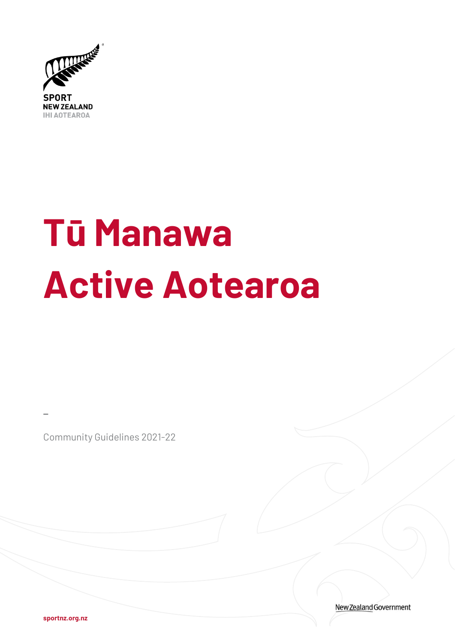

# **Tū Manawa Active Aotearoa**

Community Guidelines 2021-22

New Zealand Government

**sportnz.org.nz** 

**\_**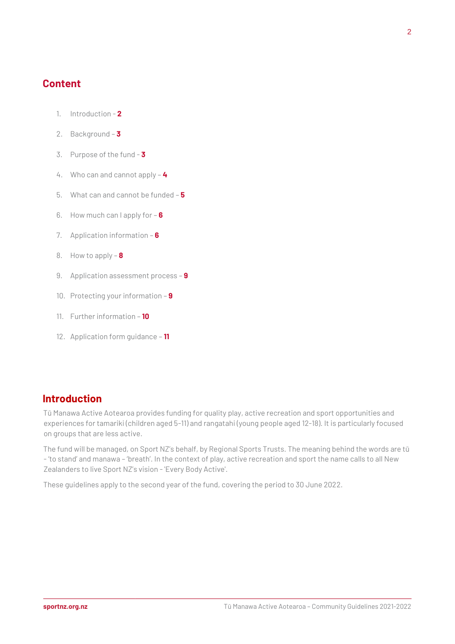## **Content**

- 1. Introduction **2**
- 2. Background **3**
- 3. Purpose of the fund **3**
- 4. Who can and cannot apply **4**
- 5. What can and cannot be funded **5**
- 6. How much can I apply for **6**
- 7. Application information **6**
- 8. How to apply **8**
- 9. Application assessment process **9**
- 10. Protecting your information **9**
- 11. Further information **10**
- 12. Application form guidance **11**

## **Introduction**

Tū Manawa Active Aotearoa provides funding for quality play, active recreation and sport opportunities and experiences for tamariki (children aged 5-11) and rangatahi (young people aged 12-18). It is particularly focused on groups that are less active.

The fund will be managed, on Sport NZ's behalf, by Regional Sports Trusts. The meaning behind the words are tū - 'to stand' and manawa – 'breath'. In the context of play, active recreation and sport the name calls to all New Zealanders to live Sport NZ's vision - 'Every Body Active'.

These guidelines apply to the second year of the fund, covering the period to 30 June 2022.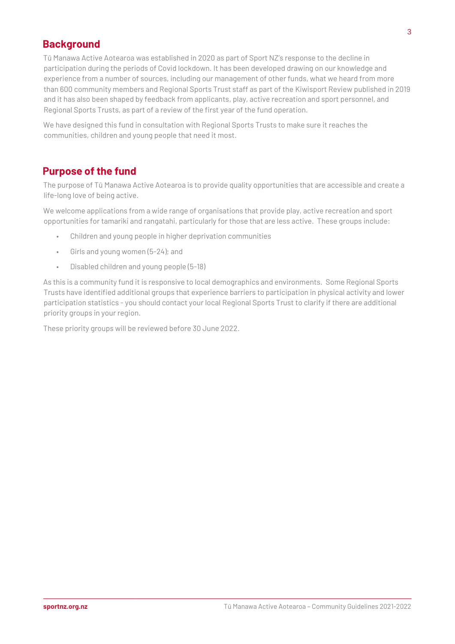# **Background**

Tū Manawa Active Aotearoa was established in 2020 as part of Sport NZ's response to the decline in participation during the periods of Covid lockdown. It has been developed drawing on our knowledge and experience from a number of sources, including our management of other funds, what we heard from more than 600 community members and Regional Sports Trust staff as part of th[e Kiwisport Review](https://sportnz.org.nz/focus-areas/youth-sport/kiwisport-review/) [pu](https://sportnz.org.nz/focus-areas/youth-sport/kiwisport-review/)blished in 2019 and it has also been shaped by feedback from applicants, play, active recreation and sport personnel, and Regional Sports Trusts, as part of a review of the first year of the fund operation.

We have designed this fund in consultation with Regional Sports Trusts to make sure it reaches the communities, children and young people that need it most.

# **Purpose of the fund**

The purpose of Tū Manawa Active Aotearoa is to provide quality opportunities that are accessible and create a life-long love of being active.

We welcome applications from a wide range of organisations that provide play, active recreation and sport opportunities for tamariki and rangatahi, particularly for those that are less active. These groups include:

- Children and young people in higher deprivation communities
- Girls and young women (5-24); and
- Disabled children and young people (5-18)

As this is a community fund it is responsive to local demographics and environments. Some Regional Sports Trusts have identified additional groups that experience barriers to participation in physical activity and lower participation statistics - you should contact your local Regional Sports Trust to clarify if there are additional priority groups in your region.

These priority groups will be reviewed before 30 June 2022.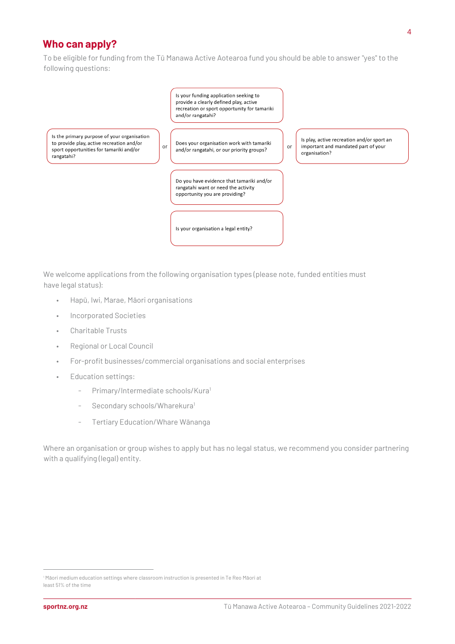# **Who can apply?**

To be eligible for funding from the Tū Manawa Active Aotearoa fund you should be able to answer "yes" to the following questions:



We welcome applications from the following organisation types (please note, funded entities must have legal status):

- Hapū, Iwi, Marae, Māori organisations
- Incorporated Societies
- Charitable Trusts
- Regional or Local Council
- For-profit businesses/commercial organisations and social enterprises
- Education settings:
	- Primary/Intermediate schools/Kura<sup>1</sup>
	- Secondary schools/Wharekura<sup>1</sup>
	- Tertiary Education/Whare Wānanga

Where an organisation or group wishes to apply but has no legal status, we recommend you consider partnering with a qualifying (legal) entity.

<sup>1</sup> Māori medium education settings where classroom instruction is presented in Te Reo Māori at least 51% of the time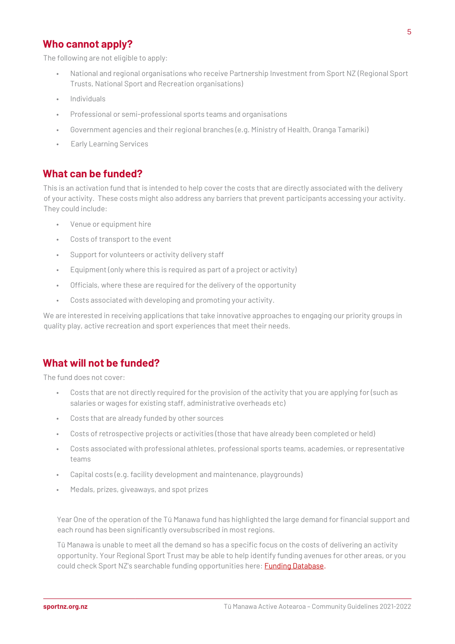# **Who cannot apply?**

The following are not eligible to apply:

- National and regional organisations who receive Partnership Investment from Sport NZ (Regional Sport Trusts, National Sport and Recreation organisations)
- Individuals
- Professional or semi-professional sports teams and organisations
- Government agencies and their regional branches (e.g. Ministry of Health, Oranga Tamariki)
- Early Learning Services

## **What can be funded?**

This is an activation fund that is intended to help cover the costs that are directly associated with the delivery of your activity. These costs might also address any barriers that prevent participants accessing your activity. They could include:

- Venue or equipment hire
- Costs of transport to the event
- Support for volunteers or activity delivery staff
- Equipment (only where this is required as part of a project or activity)
- Officials, where these are required for the delivery of the opportunity
- Costs associated with developing and promoting your activity.

We are interested in receiving applications that take innovative approaches to engaging our priority groups in quality play, active recreation and sport experiences that meet their needs.

## **What will not be funded?**

The fund does not cover:

- Costs that are not directly required for the provision of the activity that you are applying for (such as salaries or wages for existing staff, administrative overheads etc)
- Costs that are already funded by other sources
- Costs of retrospective projects or activities (those that have already been completed or held)
- Costs associated with professional athletes, professional sports teams, academies, or representative teams
- Capital costs (e.g. facility development and maintenance, playgrounds)
- Medals, prizes, giveaways, and spot prizes

Year One of the operation of the Tū Manawa fund has highlighted the large demand for financial support and each round has been significantly oversubscribed in most regions.

Tū Manawa is unable to meet all the demand so has a specific focus on the costs of delivering an activity opportunity. Your Regional Sport Trust may be able to help identify funding avenues for other areas, or you could check Sport NZ's searchable funding opportunities here[: Funding Database.](https://sportnz.org.nz/funding/external-funding/)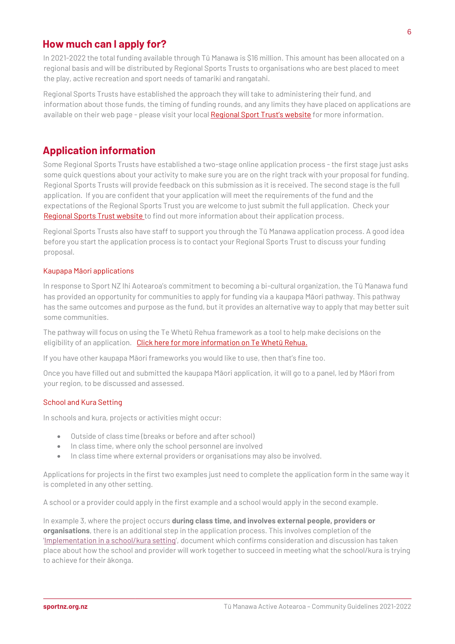## **How much can I apply for?**

In 2021-2022 the total funding available through Tū Manawa is \$16 million. This amount has been allocated on a regional basis and will be distributed by Regional Sports Trusts to organisations who are best placed to meet the play, active recreation and sport needs of tamariki and rangatahi.

Regional Sports Trusts have established the approach they will take to administering their fund, and information about those funds, the timing of funding rounds, and any limits they have placed on applications are available on their web page - please visit your local [Regional Sport Trust's website](https://sportnz.org.nz/find-a-sport-or-recreation-activity/?type=regional%20sports%20trusts®ion=&searchterm=) [fo](https://sportnz.org.nz/about-us/who-we-are/how-we-invest/regional-sports-trusts/)r more information.

# **Application information**

Some Regional Sports Trusts have established a two-stage online application process - the first stage just asks some quick questions about your activity to make sure you are on the right track with your proposal for funding. Regional Sports Trusts will provide feedback on this submission as it is received. The second stage is the full application. If you are confident that your application will meet the requirements of the fund and the expectations of the Regional Sports Trust you are welcome to just submit the full application. Check your [Regional](https://sportnz.org.nz/about-us/who-we-are/how-we-invest/regional-sports-trusts/) [Sports Trust website](https://sportnz.org.nz/find-a-sport-or-recreation-activity/?type=regional%20sports%20trusts®ion=&searchterm=) to find out more information about their application process.

Regional Sports Trusts also have staff to support you through the Tū Manawa application process. A good idea before you start the application process is to contact your Regional Sports Trust to discuss your funding proposal.

## Kaupapa Māori applications

In response to Sport NZ Ihi Aotearoa's commitment to becoming a bi-cultural organization, the Tū Manawa fund has provided an opportunity for communities to apply for funding via a kaupapa Māori pathway. This pathway has the same outcomes and purpose as the fund, but it provides an alternative way to apply that may better suit some communities.

The pathway will focus on using the Te Whetū Rehua framework as a tool to help make decisions on the eligibility of an application. [Click here for more information on Te Whetū Rehua](https://sportnz.org.nz/kaupapa-maori/e-tu-maori/te-whetu-rehua/).

If you have other kaupapa Māori frameworks you would like to use, then that's fine too.

Once you have filled out and submitted the kaupapa Māori application, it will go to a panel, led by Māori from your region, to be discussed and assessed.

## School and Kura Setting

In schools and kura, projects or activities might occur:

- Outside of class time (breaks or before and after school)
- In class time, where only the school personnel are involved
- In class time where external providers or organisations may also be involved.

Applications for projects in the first two examples just need to complete the application form in the same way it is completed in any other setting.

A school or a provider could apply in the first example and a school would apply in the second example.

In example 3, where the project occurs **during class time, and involves external people, providers or organisations**, there is an additional step in the application process. This involves completion of the ['Implementation in a school/kura setting](https://sportnz.org.nz/resources/school-applications/)', document which confirms consideration and discussion has taken place about how the school and provider will work together to succeed in meeting what the school/kura is trying to achieve for their ākonga.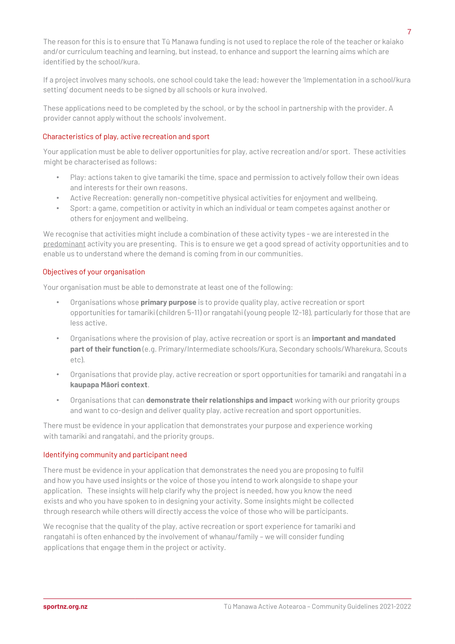The reason for this is to ensure that Tū Manawa funding is not used to replace the role of the teacher or kaiako and/or curriculum teaching and learning, but instead, to enhance and support the learning aims which are identified by the school/kura.

If a project involves many schools, one school could take the lead; however the 'Implementation in a school/kura setting' document needs to be signed by all schools or kura involved.

These applications need to be completed by the school, or by the school in partnership with the provider. A provider cannot apply without the schools' involvement.

#### Characteristics of play, active recreation and sport

Your application must be able to deliver opportunities for play, active recreation and/or sport. These activities might be characterised as follows:

- Play: actions taken to give tamariki the time, space and permission to actively follow their own ideas and interests for their own reasons.
- Active Recreation: generally non-competitive physical activities for enjoyment and wellbeing.
- Sport: a game, competition or activity in which an individual or team competes against another or others for enjoyment and wellbeing.

We recognise that activities might include a combination of these activity types - we are interested in the predominant activity you are presenting. This is to ensure we get a good spread of activity opportunities and to enable us to understand where the demand is coming from in our communities.

#### Objectives of your organisation

Your organisation must be able to demonstrate at least one of the following:

- Organisations whose **primary purpose** is to provide quality play, active recreation or sport opportunities for tamariki (children 5-11) or rangatahi (young people 12-18), particularly for those that are less active.
- Organisations where the provision of play, active recreation or sport is an **important and mandated part of their function** (e.g. Primary/Intermediate schools/Kura, Secondary schools/Wharekura, Scouts etc).
- Organisations that provide play, active recreation or sport opportunities for tamariki and rangatahi in a **kaupapa Māori context**.
- Organisations that can **demonstrate their relationships and impact** working with our priority groups and want to co-design and deliver quality play, active recreation and sport opportunities.

There must be evidence in your application that demonstrates your purpose and experience working with tamariki and rangatahi, and the priority groups.

#### Identifying community and participant need

There must be evidence in your application that demonstrates the need you are proposing to fulfil and how you have used insights or the voice of those you intend to work alongside to shape your application. These insights will help clarify why the project is needed, how you know the need exists and who you have spoken to in designing your activity. Some insights might be collected through research while others will directly access the voice of those who will be participants.

We recognise that the quality of the play, active recreation or sport experience for tamariki and rangatahi is often enhanced by the involvement of whanau/family – we will consider funding applications that engage them in the project or activity.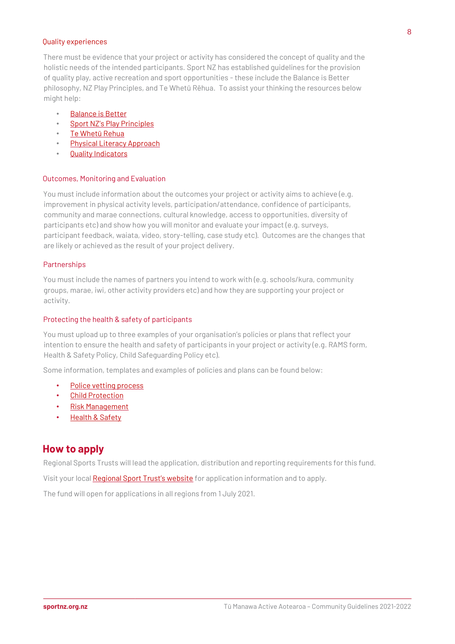#### Quality experiences

There must be evidence that your project or activity has considered the concept of quality and the holistic needs of the intended participants. Sport NZ has established guidelines for the provision of quality play, active recreation and sport opportunities - these include the Balance is Better philosophy, NZ Play Principles, and Te Whetū Rēhua. To assist your thinking the resources below might help:

- [Balance is Better](https://sportnz.org.nz/focus-areas/youth-sport/balance-is-better-philosophy/)
- [Sport NZ](https://sportnz.org.nz/assets/Uploads/attachments/Sport-New-Zealand-Play-Principles-Nov-2017.pdf)['s](https://sportnz.org.nz/assets/Uploads/attachments/Sport-New-Zealand-Play-Principles-Nov-2017.pdf) [Play Principles](https://sportnz.org.nz/resources/the-importance-of-play/)
- [Te Whet](https://www.youtube.com/watch?v=g3zbxEbAmuc&feature=youtu.be)[ū](https://www.youtube.com/watch?v=g3zbxEbAmuc&feature=youtu.be) [Rehua](https://www.youtube.com/watch?v=g3zbxEbAmuc&feature=youtu.be)
- [Physical Literacy Approach](https://sportnz.org.nz/resources/physical-literacy-approach/)
- [Quality Indicators](https://sportnz.org.nz/resources/what-quality-looks-like-for-young-people/)

#### Outcomes, Monitoring and Evaluation

You must include information about the outcomes your project or activity aims to achieve (e.g. improvement in physical activity levels, participation/attendance, confidence of participants, community and marae connections, cultural knowledge, access to opportunities, diversity of participants etc) and show how you will monitor and evaluate your impact (e.g. surveys, participant feedback, waiata, video, story-telling, case study etc). Outcomes are the changes that are likely or achieved as the result of your project delivery.

## **Partnerships**

You must include the names of partners you intend to work with (e.g. schools/kura, community groups, marae, iwi, other activity providers etc) and how they are supporting your project or activity.

#### Protecting the health & safety of participants

You must upload up to three examples of your organisation's policies or plans that reflect your intention to ensure the health and safety of participants in your project or activity (e.g. RAMS form, Health & Safety Policy, Child Safeguarding Policy etc).

Some information, templates and examples of policies and plans can be found below:

- [Police vetting process](https://www.police.govt.nz/advice-services/businesses-and-organisations/vetting)
- [Child Protection](https://sportnz.org.nz/resources/child-protection/)
- [Risk Management](https://sportnz.org.nz/managing-sport/search-for-a-resource/guides/risk-management-for-events)
- **[Health & Safety](https://www.education.govt.nz/assets/Documents/Ministry/Initiatives/Health-and-safety/Factsheets/Health-and-safety-guidance-for-school-sport.pdf)**

## **How to apply**

Regional Sports Trusts will lead the application, distribution and reporting requirements for this fund.

Visit your loc[al](https://sportnz.org.nz/about-us/who-we-are/how-we-invest/regional-sports-trusts/) [Regional Sport Trust's website](https://sportnz.org.nz/find-a-sport-or-recreation-activity/?type=regional%20sports%20trusts®ion=&searchterm=) [fo](https://sportnz.org.nz/about-us/who-we-are/how-we-invest/regional-sports-trusts/)r application information and to apply.

The fund will open for applications in all regions from 1 July 2021.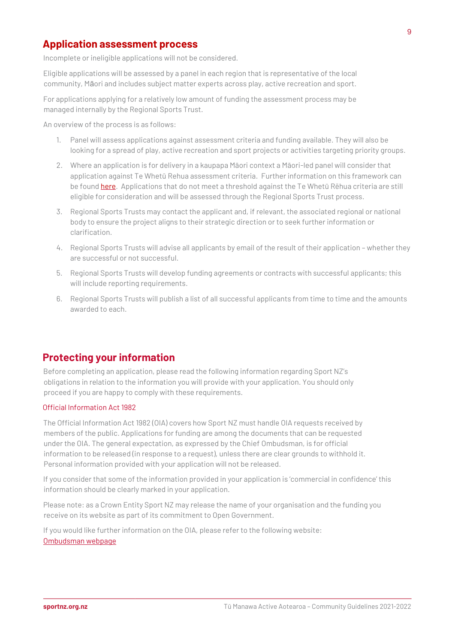## **Application assessment process**

Incomplete or ineligible applications will not be considered.

Eligible applications will be assessed by a panel in each region that is representative of the local community, Māori and includes subject matter experts across play, active recreation and sport.

For applications applying for a relatively low amount of funding the assessment process may be managed internally by the Regional Sports Trust.

An overview of the process is as follows:

- 1. Panel will assess applications against assessment criteria and funding available. They will also be looking for a spread of play, active recreation and sport projects or activities targeting priority groups.
- 2. Where an application is for delivery in a kaupapa Māori context a Māori-led panel will consider that application against Te Whetū Rehua assessment criteria. Further information on this framework can be fou[nd](https://sportnz.org.nz/assets/Uploads/Te-Whetu-Rehua.pdf) [here](https://sportnz.org.nz/kaupapa-maori/e-tu-maori/te-whetu-rehua/)[.](https://sportnz.org.nz/assets/Uploads/Te-Whetu-Rehua.pdf) Applications that do not meet a threshold against the Te Whetū Rēhua criteria are still eligible for consideration and will be assessed through the Regional Sports Trust process.
- 3. Regional Sports Trusts may contact the applicant and, if relevant, the associated regional or national body to ensure the project aligns to their strategic direction or to seek further information or clarification.
- 4. Regional Sports Trusts will advise all applicants by email of the result of their application whether they are successful or not successful.
- 5. Regional Sports Trusts will develop funding agreements or contracts with successful applicants; this will include reporting requirements.
- 6. Regional Sports Trusts will publish a list of all successful applicants from time to time and the amounts awarded to each.

## **Protecting your information**

Before completing an application, please read the following information regarding Sport NZ's obligations in relation to the information you will provide with your application. You should only proceed if you are happy to comply with these requirements.

## Official Information Act 1982

The Official Information Act 1982 (OIA) covers how Sport NZ must handle OIA requests received by members of the public. Applications for funding are among the documents that can be requested under the OIA. The general expectation, as expressed by the Chief Ombudsman, is for official information to be released (in response to a request), unless there are clear grounds to withhold it. Personal information provided with your application will not be released.

If you consider that some of the information provided in your application is 'commercial in confidence' this information should be clearly marked in your application.

Please note: as a Crown Entity Sport NZ may release the name of your organisation and the funding you receive on its website as part of its commitment to Open Government.

If you would like further information on the OIA, please refer to the following website: [Ombudsman webpage](https://www.ombudsman.parliament.nz/)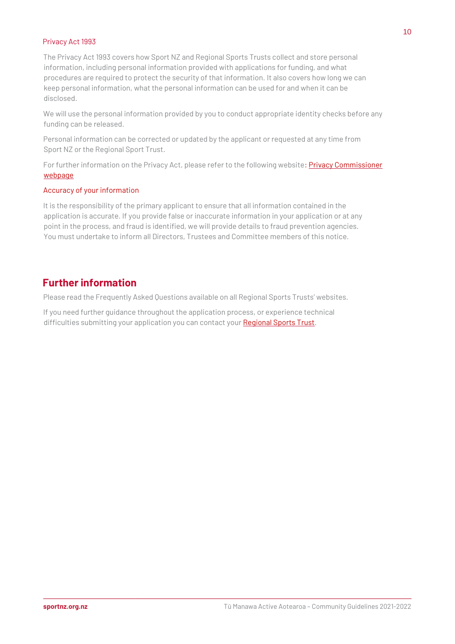#### Privacy Act 1993

The Privacy Act 1993 covers how Sport NZ and Regional Sports Trusts collect and store personal information, including personal information provided with applications for funding, and what procedures are required to protect the security of that information. It also covers how long we can keep personal information, what the personal information can be used for and when it can be disclosed.

We will use the personal information provided by you to conduct appropriate identity checks before any funding can be released.

Personal information can be corrected or updated by the applicant or requested at any time from Sport NZ or the Regional Sport Trust.

For further information on the Privacy Act, please refer to the following website[: Privacy Commissioner](https://privacy.org.nz/your-rights/your-privacy-rights/the-privacy-principles/) [webpage](https://privacy.org.nz/your-rights/your-privacy-rights/the-privacy-principles/)

#### Accuracy of your information

It is the responsibility of the primary applicant to ensure that all information contained in the application is accurate. If you provide false or inaccurate information in your application or at any point in the process, and fraud is identified, we will provide details to fraud prevention agencies. You must undertake to inform all Directors, Trustees and Committee members of this notice.

# **Further information**

Please read the Frequently Asked Questions available on all Regional Sports Trusts' websites.

If you need further guidance throughout the application process, or experience technical difficulties submitting your application you can contact you[r Regional](https://sportnz.org.nz/find-a-sport-or-recreation-activity/?type=regional%20sports%20trusts®ion=&searchterm=) [Sports Trust.](https://sportnz.org.nz/about-us/who-we-are/how-we-invest/regional-sports-trusts/)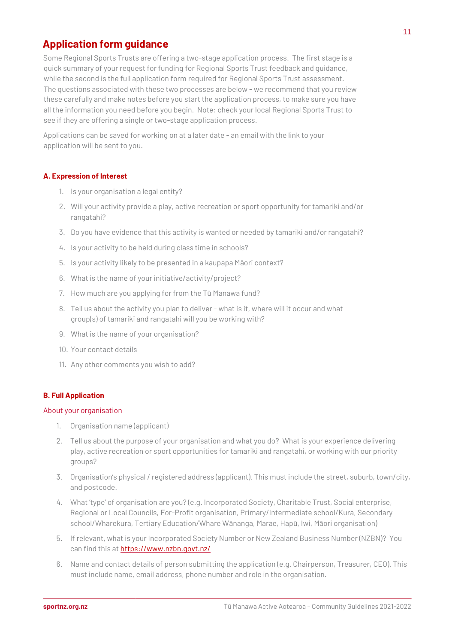# **Application form guidance**

Some Regional Sports Trusts are offering a two-stage application process. The first stage is a quick summary of your request for funding for Regional Sports Trust feedback and guidance, while the second is the full application form required for Regional Sports Trust assessment. The questions associated with these two processes are below - we recommend that you review these carefully and make notes before you start the application process, to make sure you have all the information you need before you begin. Note: check your local Regional Sports Trust to see if they are offering a single or two-stage application process.

Applications can be saved for working on at a later date - an email with the link to your application will be sent to you.

## **A. Expression of Interest**

- 1. Is your organisation a legal entity?
- 2. Will your activity provide a play, active recreation or sport opportunity for tamariki and/or rangatahi?
- 3. Do you have evidence that this activity is wanted or needed by tamariki and/or rangatahi?
- 4. Is your activity to be held during class time in schools?
- 5. Is your activity likely to be presented in a kaupapa Māori context?
- 6. What is the name of your initiative/activity/project?
- 7. How much are you applying for from the Tū Manawa fund?
- 8. Tell us about the activity you plan to deliver what is it, where will it occur and what group(s) of tamariki and rangatahi will you be working with?
- 9. What is the name of your organisation?
- 10. Your contact details
- 11. Any other comments you wish to add?

## **B. Full Application**

#### About your organisation

- 1. Organisation name (applicant)
- 2. Tell us about the purpose of your organisation and what you do? What is your experience delivering play, active recreation or sport opportunities for tamariki and rangatahi, or working with our priority groups?
- 3. Organisation's physical / registered address (applicant). This must include the street, suburb, town/city, and postcode.
- 4. What 'type' of organisation are you? (e.g. Incorporated Society, Charitable Trust, Social enterprise, Regional or Local Councils, For-Profit organisation, Primary/Intermediate school/Kura, Secondary school/Wharekura, Tertiary Education/Whare Wānanga, Marae, Hapū, Iwi, Māori organisation)
- 5. If relevant, what is your Incorporated Society Number or New Zealand Business Number (NZBN)? You can find this a[t](https://www.nzbn.govt.nz/) <https://www.nzbn.govt.nz/>
- 6. Name and contact details of person submitting the application (e.g. Chairperson, Treasurer, CEO). This must include name, email address, phone number and role in the organisation.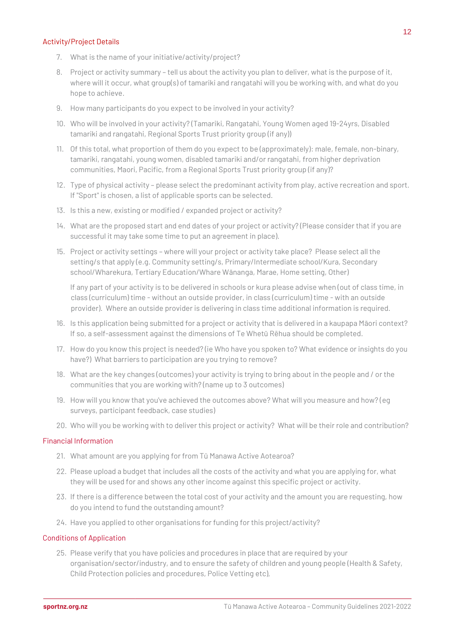#### Activity/Project Details

- 7. What is the name of your initiative/activity/project?
- 8. Project or activity summary tell us about the activity you plan to deliver, what is the purpose of it, where will it occur, what group(s) of tamariki and rangatahi will you be working with, and what do you hope to achieve.
- 9. How many participants do you expect to be involved in your activity?
- 10. Who will be involved in your activity? (Tamariki, Rangatahi, Young Women aged 19-24yrs, Disabled tamariki and rangatahi, Regional Sports Trust priority group (if any))
- 11. Of this total, what proportion of them do you expect to be (approximately): male, female, non-binary, tamariki, rangatahi, young women, disabled tamariki and/or rangatahi, from higher deprivation communities, Maori, Pacific, from a Regional Sports Trust priority group (if any)?
- 12. Type of physical activity please select the predominant activity from play, active recreation and sport. If "Sport" is chosen, a list of applicable sports can be selected.
- 13. Is this a new, existing or modified / expanded project or activity?
- 14. What are the proposed start and end dates of your project or activity? (Please consider that if you are successful it may take some time to put an agreement in place).
- 15. Project or activity settings where will your project or activity take place? Please select all the setting/s that apply (e.g. Community setting/s, Primary/Intermediate school/Kura, Secondary school/Wharekura, Tertiary Education/Whare Wānanga, Marae, Home setting, Other)

If any part of your activity is to be delivered in schools or kura please advise when (out of class time, in class (curriculum) time - without an outside provider, in class (curriculum) time - with an outside provider). Where an outside provider is delivering in class time additional information is required.

- 16. Is this application being submitted for a project or activity that is delivered in a kaupapa Māori context? If so, a self-assessment against the dimensions of Te Whetū Rēhua should be completed.
- 17. How do you know this project is needed? (ie Who have you spoken to? What evidence or insights do you have?) What barriers to participation are you trying to remove?
- 18. What are the key changes (outcomes) your activity is trying to bring about in the people and / or the communities that you are working with? (name up to 3 outcomes)
- 19. How will you know that you've achieved the outcomes above? What will you measure and how? (eg surveys, participant feedback, case studies)
- 20. Who will you be working with to deliver this project or activity? What will be their role and contribution?

## Financial Information

- 21. What amount are you applying for from Tū Manawa Active Aotearoa?
- 22. Please upload a budget that includes all the costs of the activity and what you are applying for, what they will be used for and shows any other income against this specific project or activity.
- 23. If there is a difference between the total cost of your activity and the amount you are requesting, how do you intend to fund the outstanding amount?
- 24. Have you applied to other organisations for funding for this project/activity?

## Conditions of Application

25. Please verify that you have policies and procedures in place that are required by your organisation/sector/industry, and to ensure the safety of children and young people (Health & Safety, Child Protection policies and procedures, Police Vetting etc),